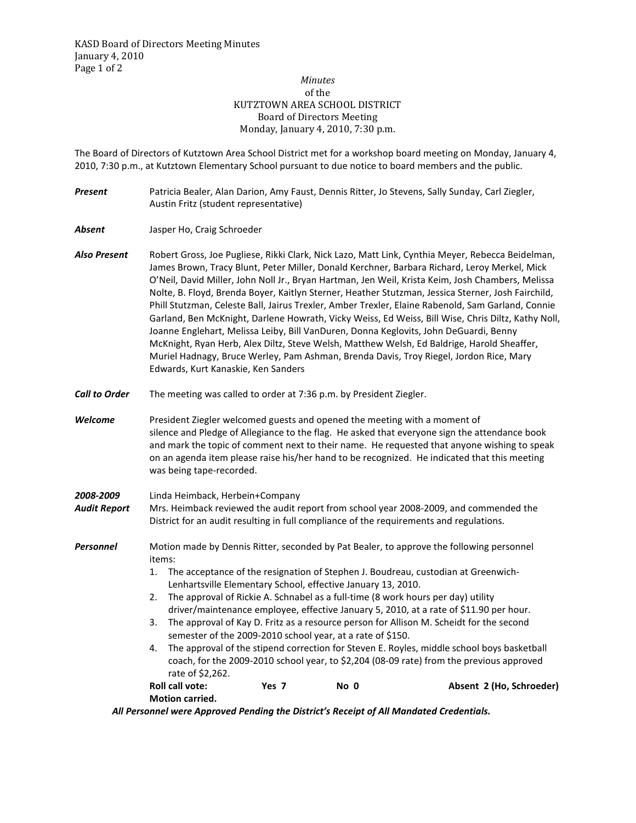## *Minutes*  of the KUTZTOWN AREA SCHOOL DISTRICT Board of Directors Meeting Monday, January 4, 2010, 7:30 p.m.

The Board of Directors of Kutztown Area School District met for a workshop board meeting on Monday, January 4, 2010, 7:30 p.m., at Kutztown Elementary School pursuant to due notice to board members and the public.

- *Present* Patricia Bealer, Alan Darion, Amy Faust, Dennis Ritter, Jo Stevens, Sally Sunday, Carl Ziegler, Austin Fritz (student representative)
- *Absent* Jasper Ho, Craig Schroeder
- *Also Present* Robert Gross, Joe Pugliese, Rikki Clark, Nick Lazo, Matt Link, Cynthia Meyer, Rebecca Beidelman, James Brown, Tracy Blunt, Peter Miller, Donald Kerchner, Barbara Richard, Leroy Merkel, Mick O'Neil, David Miller, John Noll Jr., Bryan Hartman, Jen Weil, Krista Keim, Josh Chambers, Melissa Nolte, B. Floyd, Brenda Boyer, Kaitlyn Sterner, Heather Stutzman, Jessica Sterner, Josh Fairchild, Phill Stutzman, Celeste Ball, Jairus Trexler, Amber Trexler, Elaine Rabenold, Sam Garland, Connie Garland, Ben McKnight, Darlene Howrath, Vicky Weiss, Ed Weiss, Bill Wise, Chris Diltz, Kathy Noll, Joanne Englehart, Melissa Leiby, Bill VanDuren, Donna Keglovits, John DeGuardi, Benny McKnight, Ryan Herb, Alex Diltz, Steve Welsh, Matthew Welsh, Ed Baldrige, Harold Sheaffer, Muriel Hadnagy, Bruce Werley, Pam Ashman, Brenda Davis, Troy Riegel, Jordon Rice, Mary Edwards, Kurt Kanaskie, Ken Sanders
- *Call to Order* The meeting was called to order at 7:36 p.m. by President Ziegler.
- *Welcome* President Ziegler welcomed guests and opened the meeting with a moment of silence and Pledge of Allegiance to the flag. He asked that everyone sign the attendance book and mark the topic of comment next to their name. He requested that anyone wishing to speak on an agenda item please raise his/her hand to be recognized. He indicated that this meeting was being tape-recorded.
- *2008-2009* Linda Heimback, Herbein+Company
- *Audit Report* Mrs. Heimback reviewed the audit report from school year 2008-2009, and commended the District for an audit resulting in full compliance of the requirements and regulations.
- **Personnel** Motion made by Dennis Ritter, seconded by Pat Bealer, to approve the following personnel items:
	- 1. The acceptance of the resignation of Stephen J. Boudreau, custodian at Greenwich-Lenhartsville Elementary School, effective January 13, 2010.
	- 2. The approval of Rickie A. Schnabel as a full-time (8 work hours per day) utility driver/maintenance employee, effective January 5, 2010, at a rate of \$11.90 per hour.
	- 3. The approval of Kay D. Fritz as a resource person for Allison M. Scheidt for the second semester of the 2009-2010 school year, at a rate of \$150.
	- 4. The approval of the stipend correction for Steven E. Royles, middle school boys basketball coach, for the 2009-2010 school year, to \$2,204 (08-09 rate) from the previous approved rate of \$2,262.
	- **Roll call vote: Yes 7 No 0 Absent 2 (Ho, Schroeder) Motion carried.**

*All Personnel were Approved Pending the District's Receipt of All Mandated Credentials.*